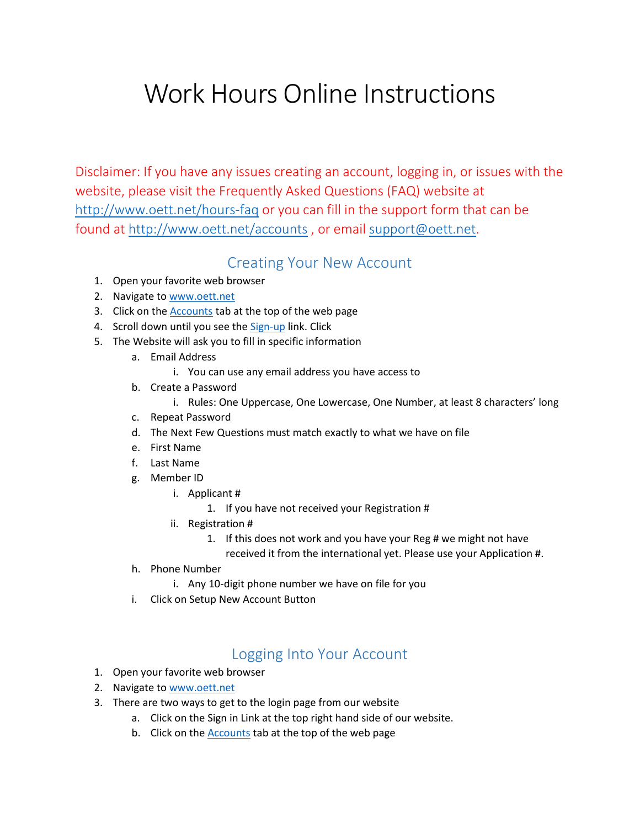## Work Hours Online Instructions

Disclaimer: If you have any issues creating an account, logging in, or issues with the website, please visit the Frequently Asked Questions (FAQ) website at <http://www.oett.net/hours-faq> or you can fill in the support form that can be found at <http://www.oett.net/accounts> , or email [support@oett.net.](mailto:support@oett.net)

## Creating Your New Account

- 1. Open your favorite web browser
- 2. Navigate to [www.oett.net](http://www.oett.net/)
- 3. Click on th[e Accounts](http://www.oett.net/accounts) tab at the top of the web page
- 4. Scroll down until you see th[e Sign-up](http://members.oett.net/LoginSetup.aspx) link. Click
- 5. The Website will ask you to fill in specific information
	- a. Email Address
		- i. You can use any email address you have access to
	- b. Create a Password
		- i. Rules: One Uppercase, One Lowercase, One Number, at least 8 characters' long
	- c. Repeat Password
	- d. The Next Few Questions must match exactly to what we have on file
	- e. First Name
	- f. Last Name
	- g. Member ID
		- i. Applicant #
			- 1. If you have not received your Registration #
		- ii. Registration #
			- 1. If this does not work and you have your Reg # we might not have
				- received it from the international yet. Please use your Application #.
	- h. Phone Number
		- i. Any 10-digit phone number we have on file for you
	- i. Click on Setup New Account Button

## Logging Into Your Account

- 1. Open your favorite web browser
- 2. Navigate to [www.oett.net](http://www.oett.net/)
- 3. There are two ways to get to the login page from our website
	- a. Click on the Sign in Link at the top right hand side of our website.
	- b. Click on the **Accounts** tab at the top of the web page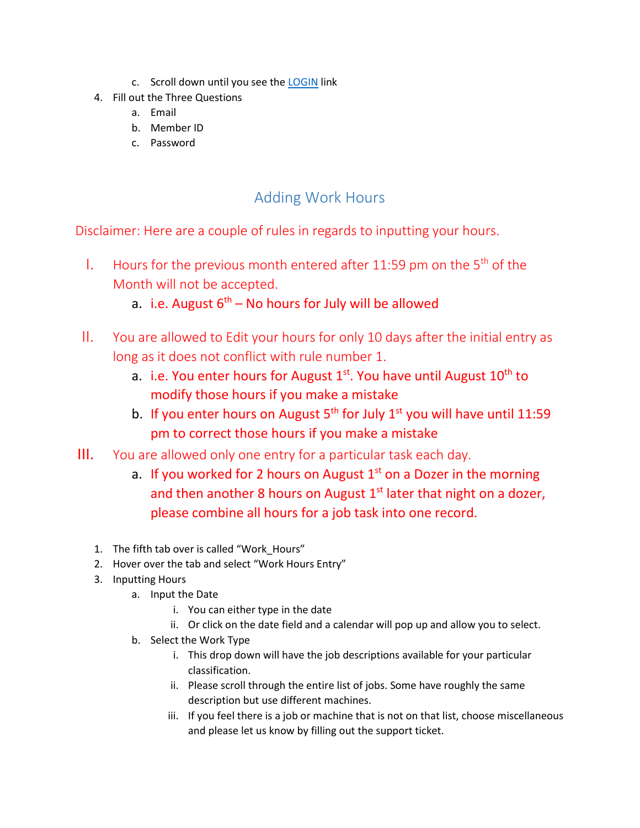- c. Scroll down until you see th[e LOGIN](http://www.oett.net/accounts) link
- 4. Fill out the Three Questions
	- a. Email
	- b. Member ID
	- c. Password

## Adding Work Hours

Disclaimer: Here are a couple of rules in regards to inputting your hours.

- I. Hours for the previous month entered after 11:59 pm on the  $5<sup>th</sup>$  of the Month will not be accepted.
	- a. i.e. August  $6^{th}$  No hours for July will be allowed
- II. You are allowed to Edit your hours for only 10 days after the initial entry as long as it does not conflict with rule number 1.
	- a. i.e. You enter hours for August  $1^{st}$ . You have until August  $10^{th}$  to modify those hours if you make a mistake
	- b. If you enter hours on August  $5<sup>th</sup>$  for July  $1<sup>st</sup>$  you will have until 11:59 pm to correct those hours if you make a mistake
- III. You are allowed only one entry for a particular task each day.
	- a. If you worked for 2 hours on August  $1<sup>st</sup>$  on a Dozer in the morning and then another 8 hours on August  $1<sup>st</sup>$  later that night on a dozer, please combine all hours for a job task into one record.
	- 1. The fifth tab over is called "Work\_Hours"
	- 2. Hover over the tab and select "Work Hours Entry"
	- 3. Inputting Hours
		- a. Input the Date
			- i. You can either type in the date
			- ii. Or click on the date field and a calendar will pop up and allow you to select.
		- b. Select the Work Type
			- i. This drop down will have the job descriptions available for your particular classification.
			- ii. Please scroll through the entire list of jobs. Some have roughly the same description but use different machines.
			- iii. If you feel there is a job or machine that is not on that list, choose miscellaneous and please let us know by filling out the support ticket.